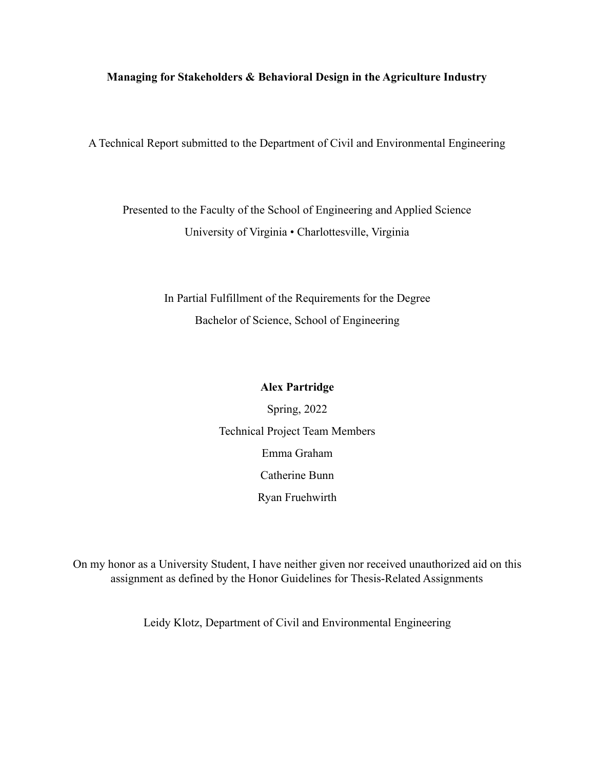#### **Managing for Stakeholders & Behavioral Design in the Agriculture Industry**

A Technical Report submitted to the Department of Civil and Environmental Engineering

Presented to the Faculty of the School of Engineering and Applied Science University of Virginia • Charlottesville, Virginia

> In Partial Fulfillment of the Requirements for the Degree Bachelor of Science, School of Engineering

#### **Alex Partridge**

Spring, 2022 Technical Project Team Members Emma Graham Catherine Bunn Ryan Fruehwirth

On my honor as a University Student, I have neither given nor received unauthorized aid on this assignment as defined by the Honor Guidelines for Thesis-Related Assignments

Leidy Klotz, Department of Civil and Environmental Engineering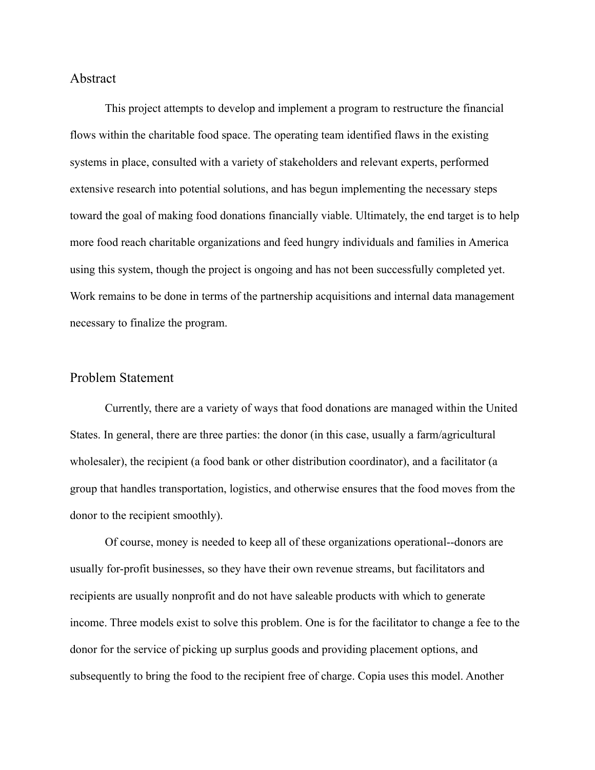#### Abstract

This project attempts to develop and implement a program to restructure the financial flows within the charitable food space. The operating team identified flaws in the existing systems in place, consulted with a variety of stakeholders and relevant experts, performed extensive research into potential solutions, and has begun implementing the necessary steps toward the goal of making food donations financially viable. Ultimately, the end target is to help more food reach charitable organizations and feed hungry individuals and families in America using this system, though the project is ongoing and has not been successfully completed yet. Work remains to be done in terms of the partnership acquisitions and internal data management necessary to finalize the program.

### Problem Statement

Currently, there are a variety of ways that food donations are managed within the United States. In general, there are three parties: the donor (in this case, usually a farm/agricultural wholesaler), the recipient (a food bank or other distribution coordinator), and a facilitator (a group that handles transportation, logistics, and otherwise ensures that the food moves from the donor to the recipient smoothly).

Of course, money is needed to keep all of these organizations operational--donors are usually for-profit businesses, so they have their own revenue streams, but facilitators and recipients are usually nonprofit and do not have saleable products with which to generate income. Three models exist to solve this problem. One is for the facilitator to change a fee to the donor for the service of picking up surplus goods and providing placement options, and subsequently to bring the food to the recipient free of charge. Copia uses this model. Another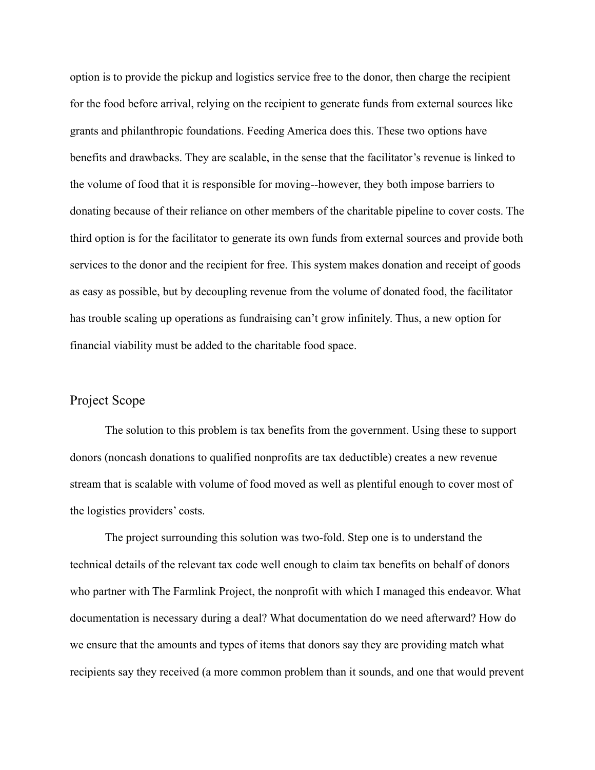option is to provide the pickup and logistics service free to the donor, then charge the recipient for the food before arrival, relying on the recipient to generate funds from external sources like grants and philanthropic foundations. Feeding America does this. These two options have benefits and drawbacks. They are scalable, in the sense that the facilitator's revenue is linked to the volume of food that it is responsible for moving--however, they both impose barriers to donating because of their reliance on other members of the charitable pipeline to cover costs. The third option is for the facilitator to generate its own funds from external sources and provide both services to the donor and the recipient for free. This system makes donation and receipt of goods as easy as possible, but by decoupling revenue from the volume of donated food, the facilitator has trouble scaling up operations as fundraising can't grow infinitely. Thus, a new option for financial viability must be added to the charitable food space.

### Project Scope

The solution to this problem is tax benefits from the government. Using these to support donors (noncash donations to qualified nonprofits are tax deductible) creates a new revenue stream that is scalable with volume of food moved as well as plentiful enough to cover most of the logistics providers' costs.

The project surrounding this solution was two-fold. Step one is to understand the technical details of the relevant tax code well enough to claim tax benefits on behalf of donors who partner with The Farmlink Project, the nonprofit with which I managed this endeavor. What documentation is necessary during a deal? What documentation do we need afterward? How do we ensure that the amounts and types of items that donors say they are providing match what recipients say they received (a more common problem than it sounds, and one that would prevent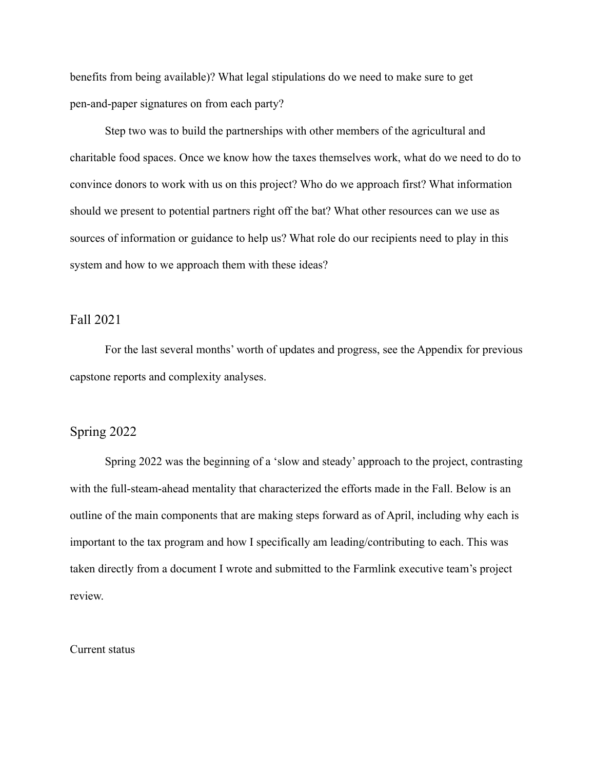benefits from being available)? What legal stipulations do we need to make sure to get pen-and-paper signatures on from each party?

Step two was to build the partnerships with other members of the agricultural and charitable food spaces. Once we know how the taxes themselves work, what do we need to do to convince donors to work with us on this project? Who do we approach first? What information should we present to potential partners right off the bat? What other resources can we use as sources of information or guidance to help us? What role do our recipients need to play in this system and how to we approach them with these ideas?

#### Fall 2021

For the last several months' worth of updates and progress, see the Appendix for previous capstone reports and complexity analyses.

### Spring 2022

Spring 2022 was the beginning of a 'slow and steady' approach to the project, contrasting with the full-steam-ahead mentality that characterized the efforts made in the Fall. Below is an outline of the main components that are making steps forward as of April, including why each is important to the tax program and how I specifically am leading/contributing to each. This was taken directly from a document I wrote and submitted to the Farmlink executive team's project review.

#### Current status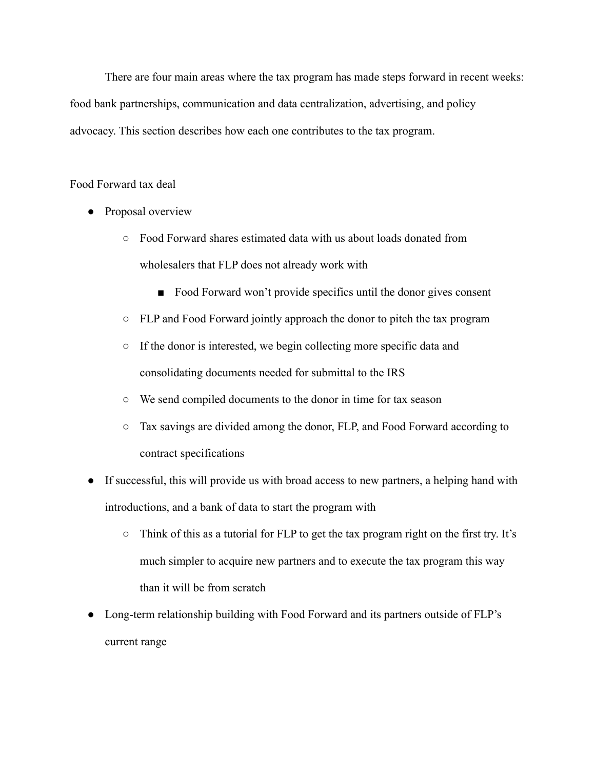There are four main areas where the tax program has made steps forward in recent weeks: food bank partnerships, communication and data centralization, advertising, and policy advocacy. This section describes how each one contributes to the tax program.

#### Food Forward tax deal

- Proposal overview
	- Food Forward shares estimated data with us about loads donated from wholesalers that FLP does not already work with
		- Food Forward won't provide specifics until the donor gives consent
	- FLP and Food Forward jointly approach the donor to pitch the tax program
	- If the donor is interested, we begin collecting more specific data and consolidating documents needed for submittal to the IRS
	- We send compiled documents to the donor in time for tax season
	- Tax savings are divided among the donor, FLP, and Food Forward according to contract specifications
- If successful, this will provide us with broad access to new partners, a helping hand with introductions, and a bank of data to start the program with
	- Think of this as a tutorial for FLP to get the tax program right on the first try. It's much simpler to acquire new partners and to execute the tax program this way than it will be from scratch
- Long-term relationship building with Food Forward and its partners outside of FLP's current range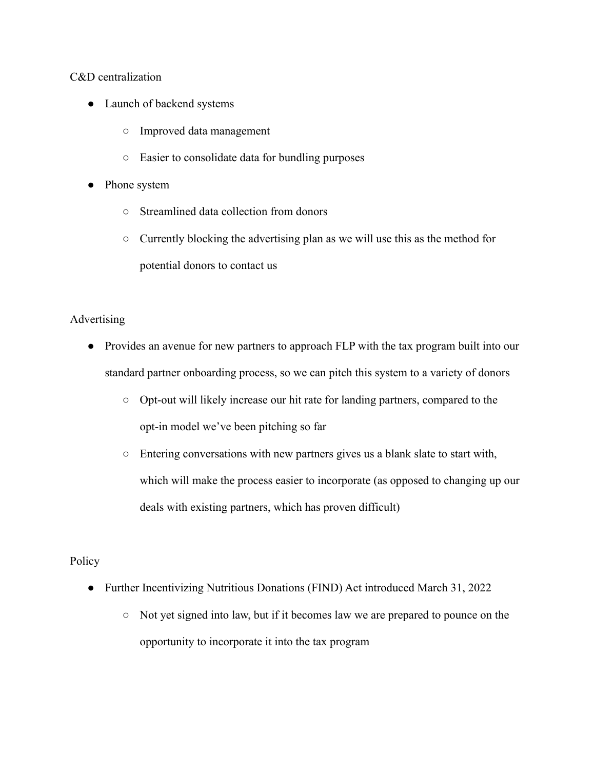### C&D centralization

- Launch of backend systems
	- Improved data management
	- Easier to consolidate data for bundling purposes
- Phone system
	- Streamlined data collection from donors
	- Currently blocking the advertising plan as we will use this as the method for potential donors to contact us

# Advertising

- Provides an avenue for new partners to approach FLP with the tax program built into our standard partner onboarding process, so we can pitch this system to a variety of donors
	- Opt-out will likely increase our hit rate for landing partners, compared to the opt-in model we've been pitching so far
	- Entering conversations with new partners gives us a blank slate to start with, which will make the process easier to incorporate (as opposed to changing up our deals with existing partners, which has proven difficult)

# Policy

- Further Incentivizing Nutritious Donations (FIND) Act introduced March 31, 2022
	- Not yet signed into law, but if it becomes law we are prepared to pounce on the opportunity to incorporate it into the tax program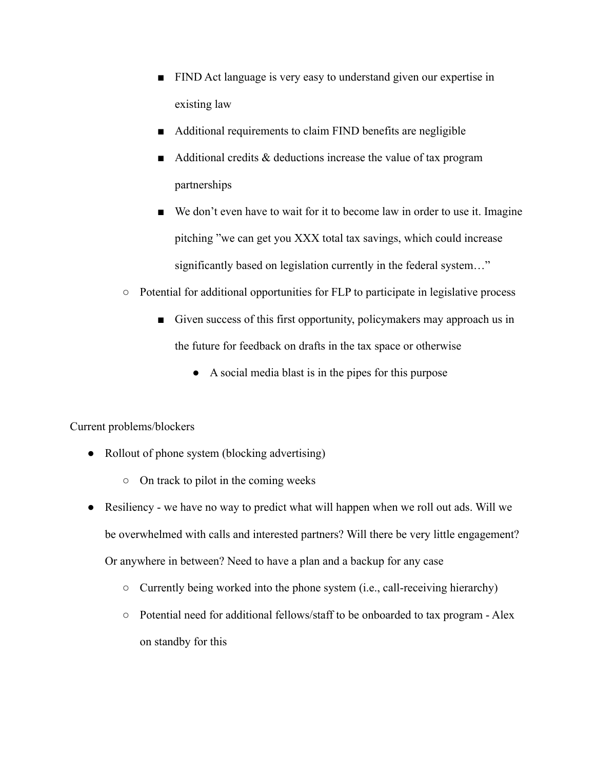- FIND Act language is very easy to understand given our expertise in existing law
- Additional requirements to claim FIND benefits are negligible
- $\blacksquare$  Additional credits & deductions increase the value of tax program partnerships
- We don't even have to wait for it to become law in order to use it. Imagine pitching "we can get you XXX total tax savings, which could increase significantly based on legislation currently in the federal system..."
- Potential for additional opportunities for FLP to participate in legislative process
	- Given success of this first opportunity, policymakers may approach us in the future for feedback on drafts in the tax space or otherwise
		- A social media blast is in the pipes for this purpose

# Current problems/blockers

- Rollout of phone system (blocking advertising)
	- On track to pilot in the coming weeks
- Resiliency we have no way to predict what will happen when we roll out ads. Will we be overwhelmed with calls and interested partners? Will there be very little engagement? Or anywhere in between? Need to have a plan and a backup for any case
	- Currently being worked into the phone system (i.e., call-receiving hierarchy)
	- Potential need for additional fellows/staff to be onboarded to tax program Alex on standby for this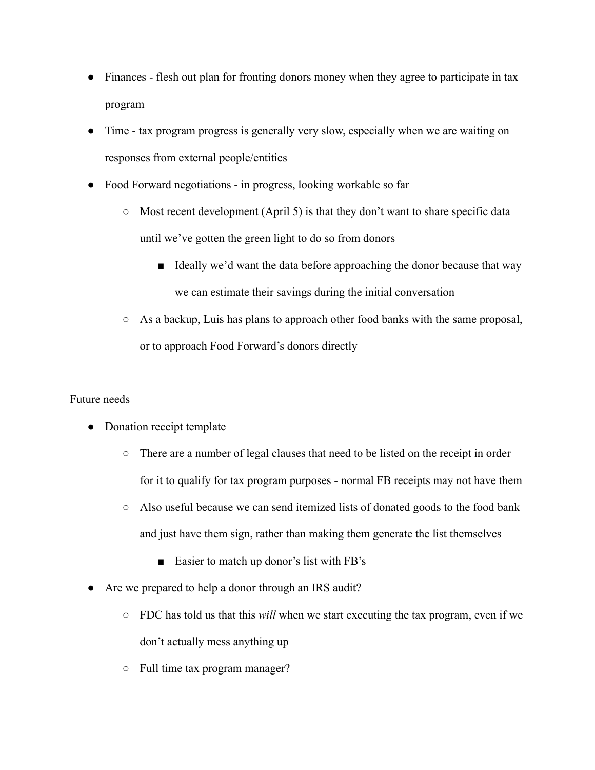- Finances flesh out plan for fronting donors money when they agree to participate in tax program
- Time tax program progress is generally very slow, especially when we are waiting on responses from external people/entities
- Food Forward negotiations in progress, looking workable so far
	- Most recent development (April 5) is that they don't want to share specific data until we've gotten the green light to do so from donors
		- Ideally we'd want the data before approaching the donor because that way we can estimate their savings during the initial conversation
	- As a backup, Luis has plans to approach other food banks with the same proposal, or to approach Food Forward's donors directly

# Future needs

- Donation receipt template
	- There are a number of legal clauses that need to be listed on the receipt in order for it to qualify for tax program purposes - normal FB receipts may not have them
	- Also useful because we can send itemized lists of donated goods to the food bank and just have them sign, rather than making them generate the list themselves
		- Easier to match up donor's list with FB's
- Are we prepared to help a donor through an IRS audit?
	- FDC has told us that this *will* when we start executing the tax program, even if we don't actually mess anything up
	- Full time tax program manager?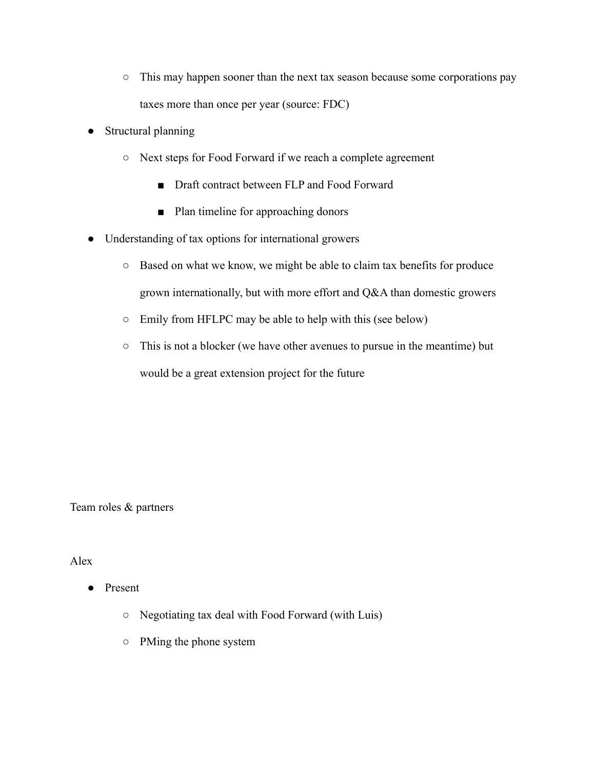- This may happen sooner than the next tax season because some corporations pay taxes more than once per year (source: FDC)
- Structural planning
	- Next steps for Food Forward if we reach a complete agreement
		- Draft contract between FLP and Food Forward
		- Plan timeline for approaching donors
- Understanding of tax options for international growers
	- Based on what we know, we might be able to claim tax benefits for produce grown internationally, but with more effort and Q&A than domestic growers
	- Emily from HFLPC may be able to help with this (see below)
	- This is not a blocker (we have other avenues to pursue in the meantime) but would be a great extension project for the future

Team roles & partners

### Alex

- Present
	- Negotiating tax deal with Food Forward (with Luis)
	- PMing the phone system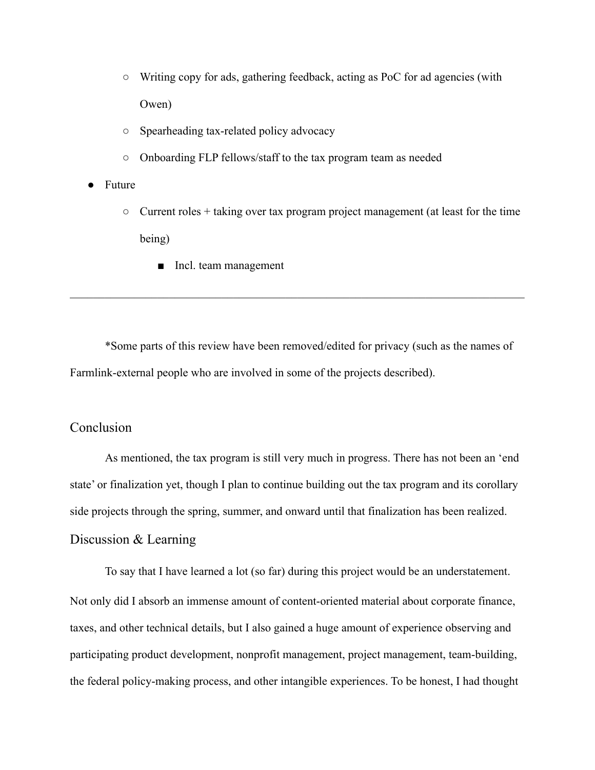- Writing copy for ads, gathering feedback, acting as PoC for ad agencies (with Owen)
- Spearheading tax-related policy advocacy
- Onboarding FLP fellows/staff to the tax program team as needed
- **Puture** 
	- $\circ$  Current roles + taking over tax program project management (at least for the time being)
		- Incl. team management

\*Some parts of this review have been removed/edited for privacy (such as the names of Farmlink-external people who are involved in some of the projects described).

 $\mathcal{L}_\mathcal{L} = \{ \mathcal{L}_\mathcal{L} = \{ \mathcal{L}_\mathcal{L} = \{ \mathcal{L}_\mathcal{L} = \{ \mathcal{L}_\mathcal{L} = \{ \mathcal{L}_\mathcal{L} = \{ \mathcal{L}_\mathcal{L} = \{ \mathcal{L}_\mathcal{L} = \{ \mathcal{L}_\mathcal{L} = \{ \mathcal{L}_\mathcal{L} = \{ \mathcal{L}_\mathcal{L} = \{ \mathcal{L}_\mathcal{L} = \{ \mathcal{L}_\mathcal{L} = \{ \mathcal{L}_\mathcal{L} = \{ \mathcal{L}_\mathcal{$ 

# Conclusion

As mentioned, the tax program is still very much in progress. There has not been an 'end state' or finalization yet, though I plan to continue building out the tax program and its corollary side projects through the spring, summer, and onward until that finalization has been realized. Discussion & Learning

To say that I have learned a lot (so far) during this project would be an understatement. Not only did I absorb an immense amount of content-oriented material about corporate finance, taxes, and other technical details, but I also gained a huge amount of experience observing and participating product development, nonprofit management, project management, team-building, the federal policy-making process, and other intangible experiences. To be honest, I had thought